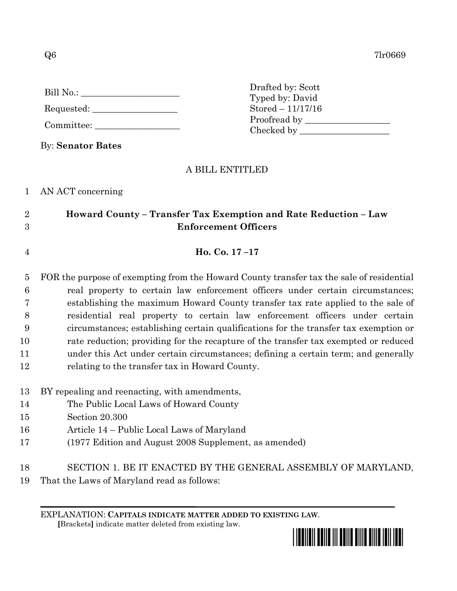$Q6$  7lr0669

| Bill No.: |  |
|-----------|--|
|           |  |

- Requested:
- Committee:

By: **Senator Bates**

Drafted by: Scott Typed by: David Stored – 11/17/16 Proofread by Checked by \_\_\_\_\_\_\_\_\_\_\_\_\_\_\_\_\_\_\_\_

## A BILL ENTITLED

1 AN ACT concerning

## 2 **Howard County – Transfer Tax Exemption and Rate Reduction – Law**  3 **Enforcement Officers**

4 **Ho. Co. 17 –17**

 FOR the purpose of exempting from the Howard County transfer tax the sale of residential real property to certain law enforcement officers under certain circumstances; establishing the maximum Howard County transfer tax rate applied to the sale of residential real property to certain law enforcement officers under certain circumstances; establishing certain qualifications for the transfer tax exemption or rate reduction; providing for the recapture of the transfer tax exempted or reduced under this Act under certain circumstances; defining a certain term; and generally relating to the transfer tax in Howard County.

- 13 BY repealing and reenacting, with amendments,
- 14 The Public Local Laws of Howard County
- 15 Section 20.300
- 16 Article 14 Public Local Laws of Maryland
- 17 (1977 Edition and August 2008 Supplement, as amended)
- 18 SECTION 1. BE IT ENACTED BY THE GENERAL ASSEMBLY OF MARYLAND,
- 19 That the Laws of Maryland read as follows:

EXPLANATION: **CAPITALS INDICATE MATTER ADDED TO EXISTING LAW**.  **[**Brackets**]** indicate matter deleted from existing law.

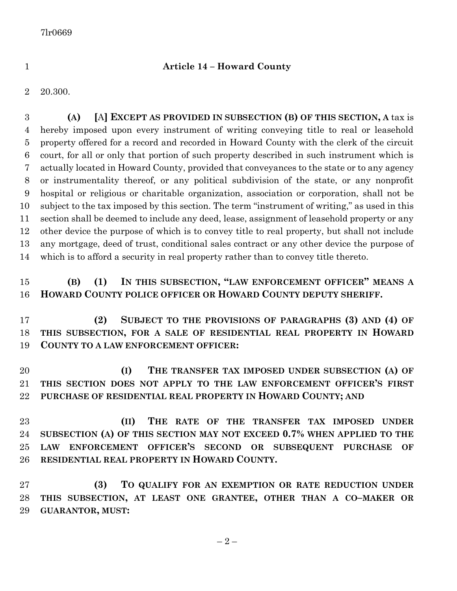## **Article 14 – Howard County**

20.300.

 **(A) [**A**] EXCEPT AS PROVIDED IN SUBSECTION (B) OF THIS SECTION, A** tax is hereby imposed upon every instrument of writing conveying title to real or leasehold property offered for a record and recorded in Howard County with the clerk of the circuit court, for all or only that portion of such property described in such instrument which is actually located in Howard County, provided that conveyances to the state or to any agency or instrumentality thereof, or any political subdivision of the state, or any nonprofit hospital or religious or charitable organization, association or corporation, shall not be subject to the tax imposed by this section. The term "instrument of writing," as used in this section shall be deemed to include any deed, lease, assignment of leasehold property or any other device the purpose of which is to convey title to real property, but shall not include any mortgage, deed of trust, conditional sales contract or any other device the purpose of which is to afford a security in real property rather than to convey title thereto.

## **(B) (1) IN THIS SUBSECTION, "LAW ENFORCEMENT OFFICER" MEANS A HOWARD COUNTY POLICE OFFICER OR HOWARD COUNTY DEPUTY SHERIFF.**

 **(2) SUBJECT TO THE PROVISIONS OF PARAGRAPHS (3) AND (4) OF THIS SUBSECTION, FOR A SALE OF RESIDENTIAL REAL PROPERTY IN HOWARD COUNTY TO A LAW ENFORCEMENT OFFICER:**

 **(I) THE TRANSFER TAX IMPOSED UNDER SUBSECTION (A) OF THIS SECTION DOES NOT APPLY TO THE LAW ENFORCEMENT OFFICER'S FIRST PURCHASE OF RESIDENTIAL REAL PROPERTY IN HOWARD COUNTY; AND**

 **(II) THE RATE OF THE TRANSFER TAX IMPOSED UNDER SUBSECTION (A) OF THIS SECTION MAY NOT EXCEED 0.7% WHEN APPLIED TO THE LAW ENFORCEMENT OFFICER'S SECOND OR SUBSEQUENT PURCHASE OF RESIDENTIAL REAL PROPERTY IN HOWARD COUNTY.**

 **(3) TO QUALIFY FOR AN EXEMPTION OR RATE REDUCTION UNDER THIS SUBSECTION, AT LEAST ONE GRANTEE, OTHER THAN A CO–MAKER OR GUARANTOR, MUST:**